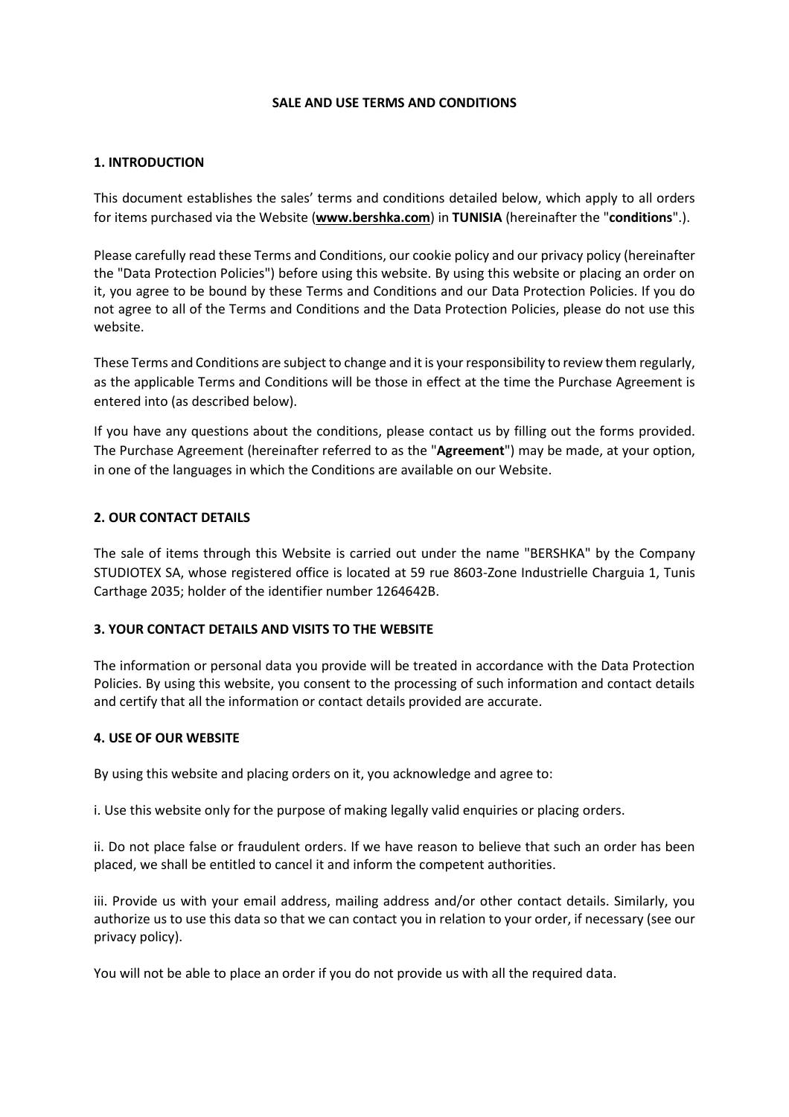### **SALE AND USE TERMS AND CONDITIONS**

#### **1. INTRODUCTION**

This document establishes the sales' terms and conditions detailed below, which apply to all orders for items purchased via the Website (**www.bershka.com**) in **TUNISIA** (hereinafter the "**conditions**".).

Please carefully read these Terms and Conditions, our cookie policy and our privacy policy (hereinafter the "Data Protection Policies") before using this website. By using this website or placing an order on it, you agree to be bound by these Terms and Conditions and our Data Protection Policies. If you do not agree to all of the Terms and Conditions and the Data Protection Policies, please do not use this website.

These Terms and Conditions are subject to change and it is yourresponsibility to review them regularly, as the applicable Terms and Conditions will be those in effect at the time the Purchase Agreement is entered into (as described below).

If you have any questions about the conditions, please contact us by filling out the forms provided. The Purchase Agreement (hereinafter referred to as the "**Agreement**") may be made, at your option, in one of the languages in which the Conditions are available on our Website.

### **2. OUR CONTACT DETAILS**

The sale of items through this Website is carried out under the name "BERSHKA" by the Company STUDIOTEX SA, whose registered office is located at 59 rue 8603-Zone Industrielle Charguia 1, Tunis Carthage 2035; holder of the identifier number 1264642B.

### **3. YOUR CONTACT DETAILS AND VISITS TO THE WEBSITE**

The information or personal data you provide will be treated in accordance with the Data Protection Policies. By using this website, you consent to the processing of such information and contact details and certify that all the information or contact details provided are accurate.

### **4. USE OF OUR WEBSITE**

By using this website and placing orders on it, you acknowledge and agree to:

i. Use this website only for the purpose of making legally valid enquiries or placing orders.

ii. Do not place false or fraudulent orders. If we have reason to believe that such an order has been placed, we shall be entitled to cancel it and inform the competent authorities.

iii. Provide us with your email address, mailing address and/or other contact details. Similarly, you authorize us to use this data so that we can contact you in relation to your order, if necessary (see our privacy policy).

You will not be able to place an order if you do not provide us with all the required data.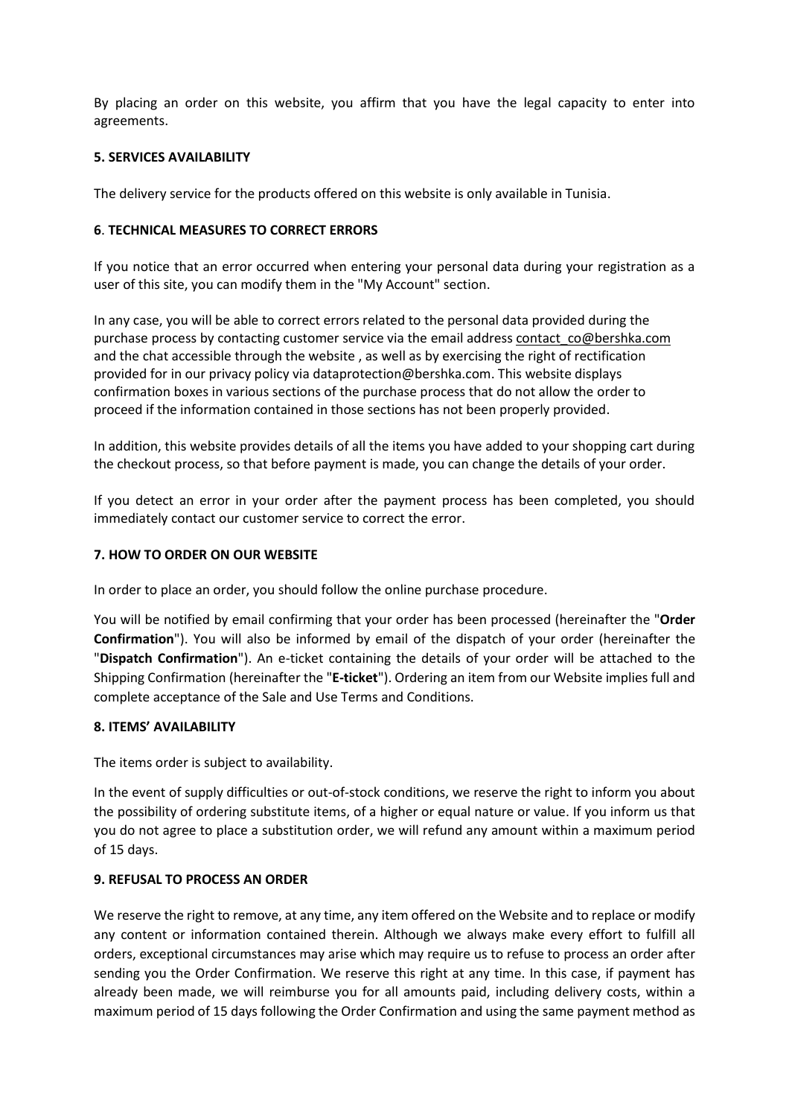By placing an order on this website, you affirm that you have the legal capacity to enter into agreements.

### **5. SERVICES AVAILABILITY**

The delivery service for the products offered on this website is only available in Tunisia.

### **6**. **TECHNICAL MEASURES TO CORRECT ERRORS**

If you notice that an error occurred when entering your personal data during your registration as a user of this site, you can modify them in the "My Account" section.

In any case, you will be able to correct errors related to the personal data provided during the purchase process by contacting customer service via the email address contact co@bershka.com and the chat accessible through the website , as well as by exercising the right of rectification provided for in our privacy policy via dataprotection@bershka.com. This website displays confirmation boxes in various sections of the purchase process that do not allow the order to proceed if the information contained in those sections has not been properly provided.

In addition, this website provides details of all the items you have added to your shopping cart during the checkout process, so that before payment is made, you can change the details of your order.

If you detect an error in your order after the payment process has been completed, you should immediately contact our customer service to correct the error.

### **7. HOW TO ORDER ON OUR WEBSITE**

In order to place an order, you should follow the online purchase procedure.

You will be notified by email confirming that your order has been processed (hereinafter the "**Order Confirmation**"). You will also be informed by email of the dispatch of your order (hereinafter the "**Dispatch Confirmation**"). An e-ticket containing the details of your order will be attached to the Shipping Confirmation (hereinafter the "**E-ticket**"). Ordering an item from our Website implies full and complete acceptance of the Sale and Use Terms and Conditions.

### **8. ITEMS' AVAILABILITY**

The items order is subject to availability.

In the event of supply difficulties or out-of-stock conditions, we reserve the right to inform you about the possibility of ordering substitute items, of a higher or equal nature or value. If you inform us that you do not agree to place a substitution order, we will refund any amount within a maximum period of 15 days.

## **9. REFUSAL TO PROCESS AN ORDER**

We reserve the right to remove, at any time, any item offered on the Website and to replace or modify any content or information contained therein. Although we always make every effort to fulfill all orders, exceptional circumstances may arise which may require us to refuse to process an order after sending you the Order Confirmation. We reserve this right at any time. In this case, if payment has already been made, we will reimburse you for all amounts paid, including delivery costs, within a maximum period of 15 days following the Order Confirmation and using the same payment method as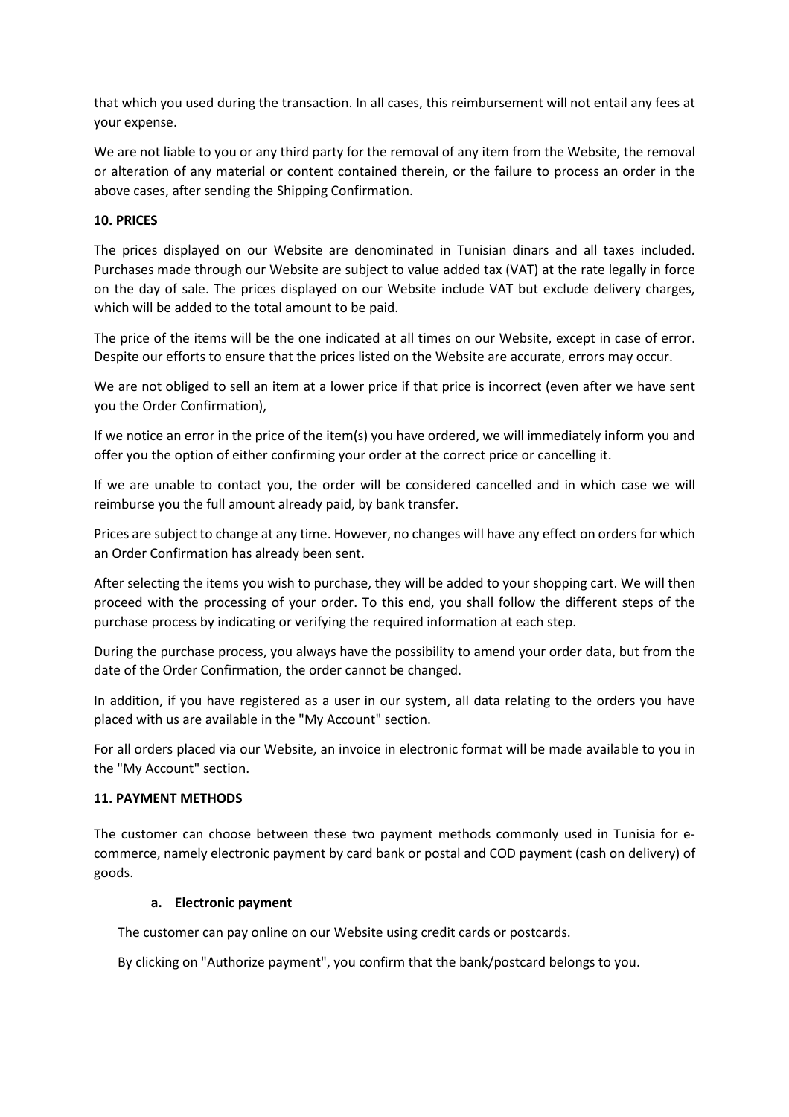that which you used during the transaction. In all cases, this reimbursement will not entail any fees at your expense.

We are not liable to you or any third party for the removal of any item from the Website, the removal or alteration of any material or content contained therein, or the failure to process an order in the above cases, after sending the Shipping Confirmation.

### **10. PRICES**

The prices displayed on our Website are denominated in Tunisian dinars and all taxes included. Purchases made through our Website are subject to value added tax (VAT) at the rate legally in force on the day of sale. The prices displayed on our Website include VAT but exclude delivery charges, which will be added to the total amount to be paid.

The price of the items will be the one indicated at all times on our Website, except in case of error. Despite our efforts to ensure that the prices listed on the Website are accurate, errors may occur.

We are not obliged to sell an item at a lower price if that price is incorrect (even after we have sent you the Order Confirmation),

If we notice an error in the price of the item(s) you have ordered, we will immediately inform you and offer you the option of either confirming your order at the correct price or cancelling it.

If we are unable to contact you, the order will be considered cancelled and in which case we will reimburse you the full amount already paid, by bank transfer.

Prices are subject to change at any time. However, no changes will have any effect on orders for which an Order Confirmation has already been sent.

After selecting the items you wish to purchase, they will be added to your shopping cart. We will then proceed with the processing of your order. To this end, you shall follow the different steps of the purchase process by indicating or verifying the required information at each step.

During the purchase process, you always have the possibility to amend your order data, but from the date of the Order Confirmation, the order cannot be changed.

In addition, if you have registered as a user in our system, all data relating to the orders you have placed with us are available in the "My Account" section.

For all orders placed via our Website, an invoice in electronic format will be made available to you in the "My Account" section.

### **11. PAYMENT METHODS**

The customer can choose between these two payment methods commonly used in Tunisia for ecommerce, namely electronic payment by card bank or postal and COD payment (cash on delivery) of goods.

### **a. Electronic payment**

The customer can pay online on our Website using credit cards or postcards.

By clicking on "Authorize payment", you confirm that the bank/postcard belongs to you.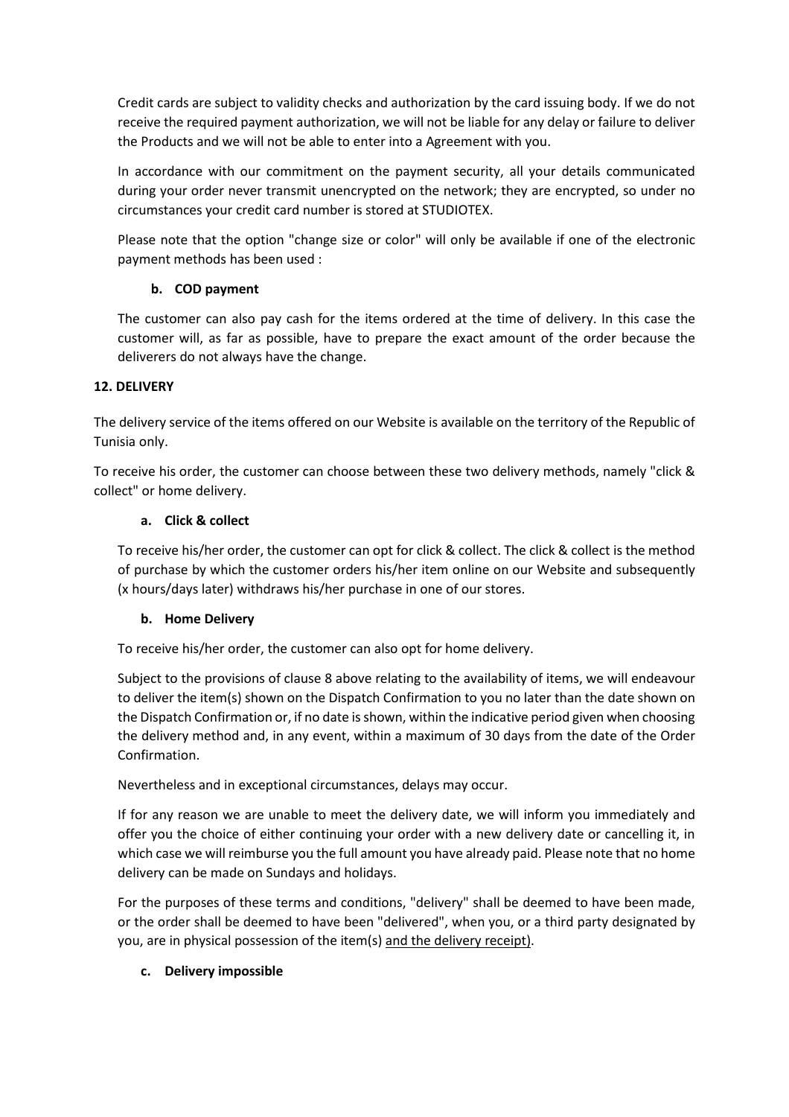Credit cards are subject to validity checks and authorization by the card issuing body. If we do not receive the required payment authorization, we will not be liable for any delay or failure to deliver the Products and we will not be able to enter into a Agreement with you.

In accordance with our commitment on the payment security, all your details communicated during your order never transmit unencrypted on the network; they are encrypted, so under no circumstances your credit card number is stored at STUDIOTEX.

Please note that the option "change size or color" will only be available if one of the electronic payment methods has been used :

# **b. COD payment**

The customer can also pay cash for the items ordered at the time of delivery. In this case the customer will, as far as possible, have to prepare the exact amount of the order because the deliverers do not always have the change.

## **12. DELIVERY**

The delivery service of the items offered on our Website is available on the territory of the Republic of Tunisia only.

To receive his order, the customer can choose between these two delivery methods, namely "click & collect" or home delivery.

## **a. Click & collect**

To receive his/her order, the customer can opt for click & collect. The click & collect is the method of purchase by which the customer orders his/her item online on our Website and subsequently (x hours/days later) withdraws his/her purchase in one of our stores.

## **b. Home Delivery**

To receive his/her order, the customer can also opt for home delivery.

Subject to the provisions of clause 8 above relating to the availability of items, we will endeavour to deliver the item(s) shown on the Dispatch Confirmation to you no later than the date shown on the Dispatch Confirmation or, if no date is shown, within the indicative period given when choosing the delivery method and, in any event, within a maximum of 30 days from the date of the Order Confirmation.

Nevertheless and in exceptional circumstances, delays may occur.

If for any reason we are unable to meet the delivery date, we will inform you immediately and offer you the choice of either continuing your order with a new delivery date or cancelling it, in which case we will reimburse you the full amount you have already paid. Please note that no home delivery can be made on Sundays and holidays.

For the purposes of these terms and conditions, "delivery" shall be deemed to have been made, or the order shall be deemed to have been "delivered", when you, or a third party designated by you, are in physical possession of the item(s) and the delivery receipt).

## **c. Delivery impossible**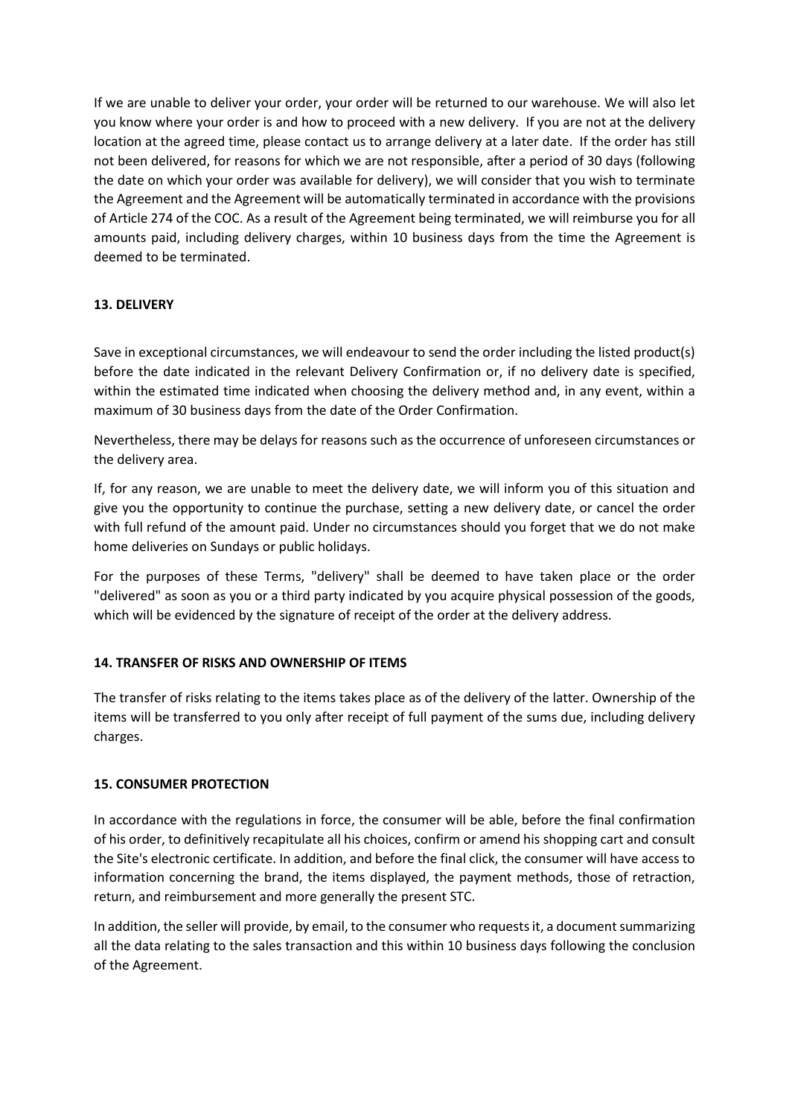If we are unable to deliver your order, your order will be returned to our warehouse. We will also let you know where your order is and how to proceed with a new delivery. If you are not at the delivery location at the agreed time, please contact us to arrange delivery at a later date. If the order has still not been delivered, for reasons for which we are not responsible, after a period of 30 days (following the date on which your order was available for delivery), we will consider that you wish to terminate the Agreement and the Agreement will be automatically terminated in accordance with the provisions of Article 274 of the COC. As a result of the Agreement being terminated, we will reimburse you for all amounts paid, including delivery charges, within 10 business days from the time the Agreement is deemed to be terminated.

## **13. DELIVERY**

Save in exceptional circumstances, we will endeavour to send the order including the listed product(s) before the date indicated in the relevant Delivery Confirmation or, if no delivery date is specified, within the estimated time indicated when choosing the delivery method and, in any event, within a maximum of 30 business days from the date of the Order Confirmation.

Nevertheless, there may be delays for reasons such as the occurrence of unforeseen circumstances or the delivery area.

If, for any reason, we are unable to meet the delivery date, we will inform you of this situation and give you the opportunity to continue the purchase, setting a new delivery date, or cancel the order with full refund of the amount paid. Under no circumstances should you forget that we do not make home deliveries on Sundays or public holidays.

For the purposes of these Terms, "delivery" shall be deemed to have taken place or the order "delivered" as soon as you or a third party indicated by you acquire physical possession of the goods, which will be evidenced by the signature of receipt of the order at the delivery address.

## **14. TRANSFER OF RISKS AND OWNERSHIP OF ITEMS**

The transfer of risks relating to the items takes place as of the delivery of the latter. Ownership of the items will be transferred to you only after receipt of full payment of the sums due, including delivery charges.

## **15. CONSUMER PROTECTION**

In accordance with the regulations in force, the consumer will be able, before the final confirmation of his order, to definitively recapitulate all his choices, confirm or amend his shopping cart and consult the Site's electronic certificate. In addition, and before the final click, the consumer will have access to information concerning the brand, the items displayed, the payment methods, those of retraction, return, and reimbursement and more generally the present STC.

In addition, the seller will provide, by email, to the consumer who requests it, a document summarizing all the data relating to the sales transaction and this within 10 business days following the conclusion of the Agreement.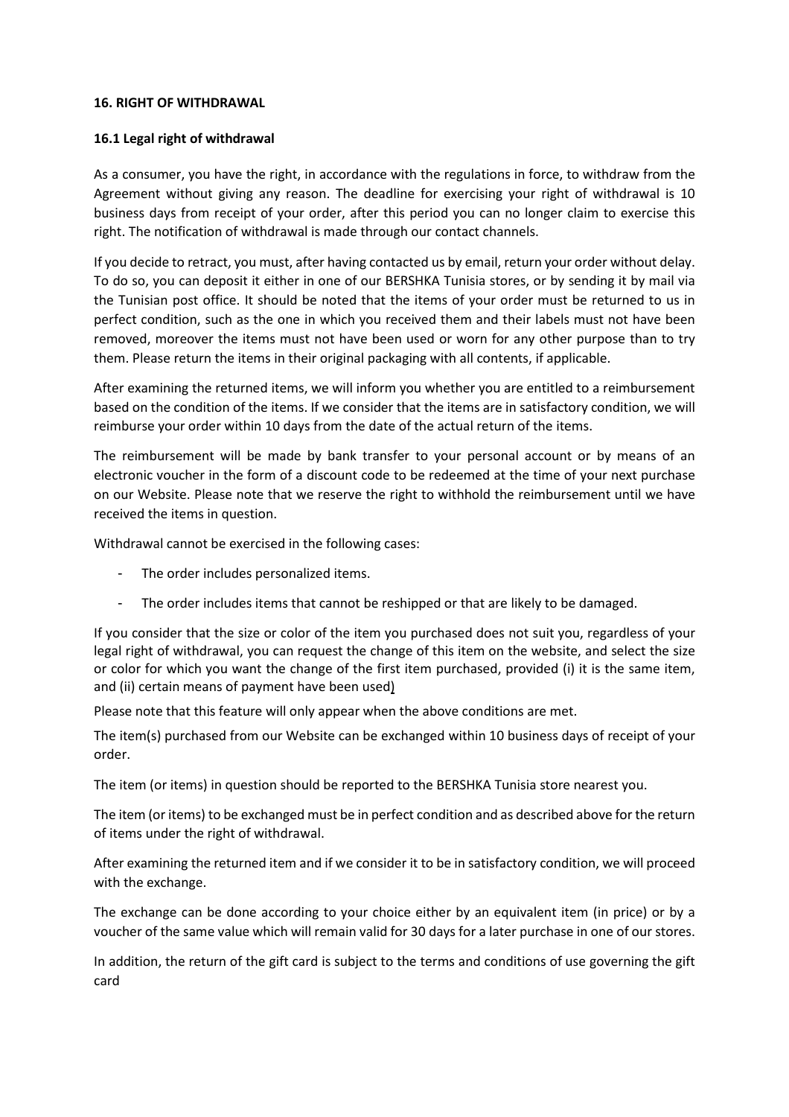### **16. RIGHT OF WITHDRAWAL**

### **16.1 Legal right of withdrawal**

As a consumer, you have the right, in accordance with the regulations in force, to withdraw from the Agreement without giving any reason. The deadline for exercising your right of withdrawal is 10 business days from receipt of your order, after this period you can no longer claim to exercise this right. The notification of withdrawal is made through our contact channels.

If you decide to retract, you must, after having contacted us by email, return your order without delay. To do so, you can deposit it either in one of our BERSHKA Tunisia stores, or by sending it by mail via the Tunisian post office. It should be noted that the items of your order must be returned to us in perfect condition, such as the one in which you received them and their labels must not have been removed, moreover the items must not have been used or worn for any other purpose than to try them. Please return the items in their original packaging with all contents, if applicable.

After examining the returned items, we will inform you whether you are entitled to a reimbursement based on the condition of the items. If we consider that the items are in satisfactory condition, we will reimburse your order within 10 days from the date of the actual return of the items.

The reimbursement will be made by bank transfer to your personal account or by means of an electronic voucher in the form of a discount code to be redeemed at the time of your next purchase on our Website. Please note that we reserve the right to withhold the reimbursement until we have received the items in question.

Withdrawal cannot be exercised in the following cases:

- The order includes personalized items.
- The order includes items that cannot be reshipped or that are likely to be damaged.

If you consider that the size or color of the item you purchased does not suit you, regardless of your legal right of withdrawal, you can request the change of this item on the website, and select the size or color for which you want the change of the first item purchased, provided (i) it is the same item, and (ii) certain means of payment have been used)

Please note that this feature will only appear when the above conditions are met.

The item(s) purchased from our Website can be exchanged within 10 business days of receipt of your order.

The item (or items) in question should be reported to the BERSHKA Tunisia store nearest you.

The item (or items) to be exchanged must be in perfect condition and as described above for the return of items under the right of withdrawal.

After examining the returned item and if we consider it to be in satisfactory condition, we will proceed with the exchange.

The exchange can be done according to your choice either by an equivalent item (in price) or by a voucher of the same value which will remain valid for 30 days for a later purchase in one of our stores.

In addition, the return of the gift card is subject to the terms and conditions of use governing the gift card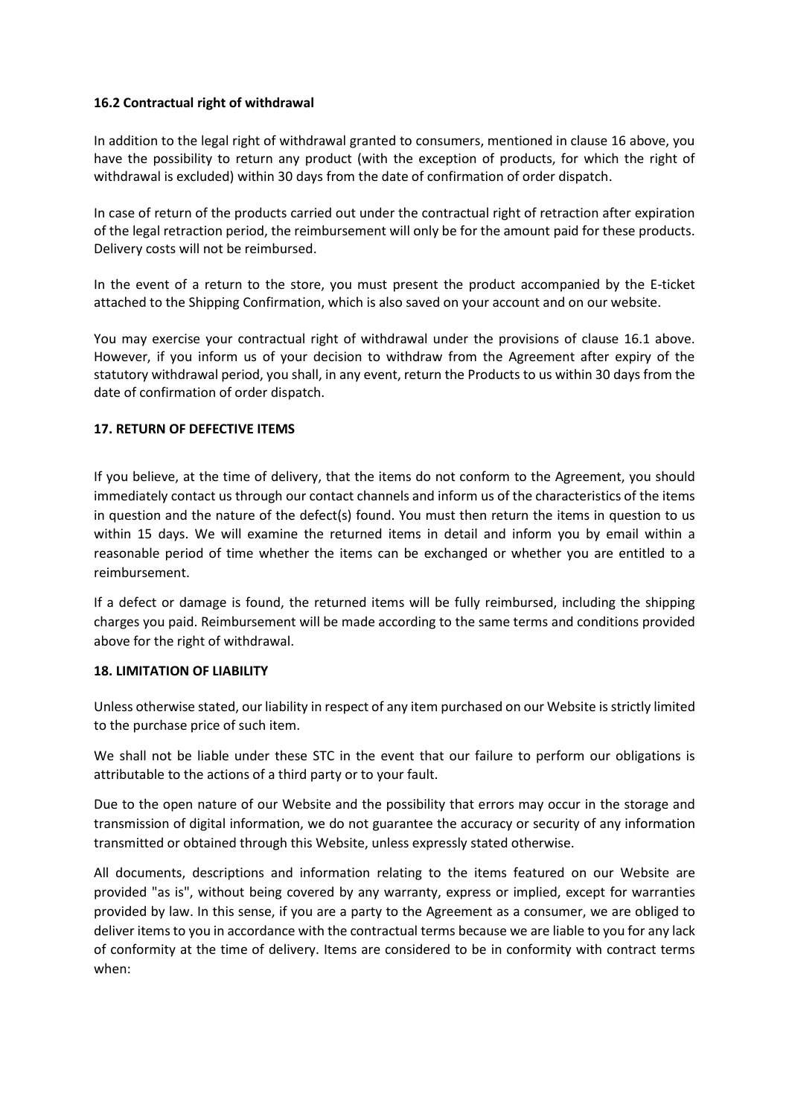### **16.2 Contractual right of withdrawal**

In addition to the legal right of withdrawal granted to consumers, mentioned in clause 16 above, you have the possibility to return any product (with the exception of products, for which the right of withdrawal is excluded) within 30 days from the date of confirmation of order dispatch.

In case of return of the products carried out under the contractual right of retraction after expiration of the legal retraction period, the reimbursement will only be for the amount paid for these products. Delivery costs will not be reimbursed.

In the event of a return to the store, you must present the product accompanied by the E-ticket attached to the Shipping Confirmation, which is also saved on your account and on our website.

You may exercise your contractual right of withdrawal under the provisions of clause 16.1 above. However, if you inform us of your decision to withdraw from the Agreement after expiry of the statutory withdrawal period, you shall, in any event, return the Products to us within 30 days from the date of confirmation of order dispatch.

### **17. RETURN OF DEFECTIVE ITEMS**

If you believe, at the time of delivery, that the items do not conform to the Agreement, you should immediately contact us through our contact channels and inform us of the characteristics of the items in question and the nature of the defect(s) found. You must then return the items in question to us within 15 days. We will examine the returned items in detail and inform you by email within a reasonable period of time whether the items can be exchanged or whether you are entitled to a reimbursement.

If a defect or damage is found, the returned items will be fully reimbursed, including the shipping charges you paid. Reimbursement will be made according to the same terms and conditions provided above for the right of withdrawal.

### **18. LIMITATION OF LIABILITY**

Unless otherwise stated, our liability in respect of any item purchased on our Website is strictly limited to the purchase price of such item.

We shall not be liable under these STC in the event that our failure to perform our obligations is attributable to the actions of a third party or to your fault.

Due to the open nature of our Website and the possibility that errors may occur in the storage and transmission of digital information, we do not guarantee the accuracy or security of any information transmitted or obtained through this Website, unless expressly stated otherwise.

All documents, descriptions and information relating to the items featured on our Website are provided "as is", without being covered by any warranty, express or implied, except for warranties provided by law. In this sense, if you are a party to the Agreement as a consumer, we are obliged to deliver itemsto you in accordance with the contractual terms because we are liable to you for any lack of conformity at the time of delivery. Items are considered to be in conformity with contract terms when: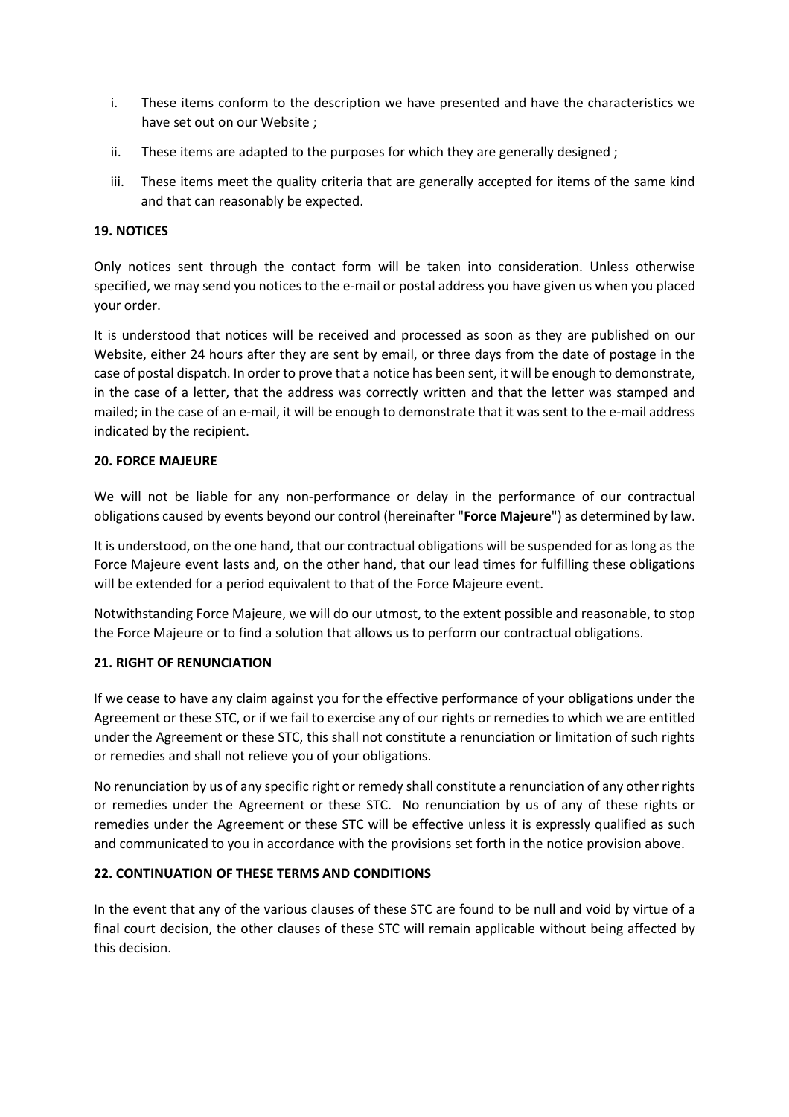- i. These items conform to the description we have presented and have the characteristics we have set out on our Website ;
- ii. These items are adapted to the purposes for which they are generally designed ;
- iii. These items meet the quality criteria that are generally accepted for items of the same kind and that can reasonably be expected.

## **19. NOTICES**

Only notices sent through the contact form will be taken into consideration. Unless otherwise specified, we may send you notices to the e-mail or postal address you have given us when you placed your order.

It is understood that notices will be received and processed as soon as they are published on our Website, either 24 hours after they are sent by email, or three days from the date of postage in the case of postal dispatch. In order to prove that a notice has been sent, it will be enough to demonstrate, in the case of a letter, that the address was correctly written and that the letter was stamped and mailed; in the case of an e-mail, it will be enough to demonstrate that it was sent to the e-mail address indicated by the recipient.

### **20. FORCE MAJEURE**

We will not be liable for any non-performance or delay in the performance of our contractual obligations caused by events beyond our control (hereinafter "**Force Majeure**") as determined by law.

It is understood, on the one hand, that our contractual obligations will be suspended for as long as the Force Majeure event lasts and, on the other hand, that our lead times for fulfilling these obligations will be extended for a period equivalent to that of the Force Majeure event.

Notwithstanding Force Majeure, we will do our utmost, to the extent possible and reasonable, to stop the Force Majeure or to find a solution that allows us to perform our contractual obligations.

## **21. RIGHT OF RENUNCIATION**

If we cease to have any claim against you for the effective performance of your obligations under the Agreement or these STC, or if we fail to exercise any of our rights or remedies to which we are entitled under the Agreement or these STC, this shall not constitute a renunciation or limitation of such rights or remedies and shall not relieve you of your obligations.

No renunciation by us of any specific right or remedy shall constitute a renunciation of any other rights or remedies under the Agreement or these STC. No renunciation by us of any of these rights or remedies under the Agreement or these STC will be effective unless it is expressly qualified as such and communicated to you in accordance with the provisions set forth in the notice provision above.

## **22. CONTINUATION OF THESE TERMS AND CONDITIONS**

In the event that any of the various clauses of these STC are found to be null and void by virtue of a final court decision, the other clauses of these STC will remain applicable without being affected by this decision.